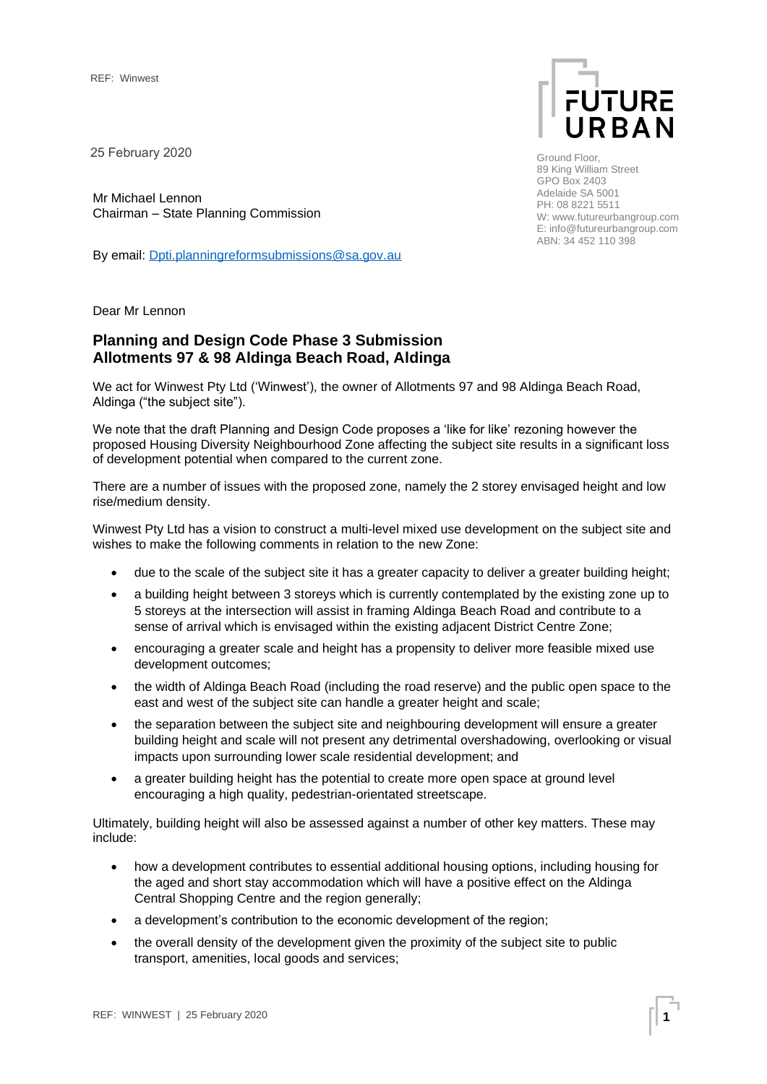25 February 2020

Mr Michael Lennon Chairman – State Planning Commission

By email: [Dpti.planningreformsubmissions@sa.gov.au](mailto:Dpti.planningreformsubmissions@sa.gov.au)



Ground Floor, 89 King William Street GPO Box 2403 Adelaide SA 5001 PH: 08 8221 5511 W: www.futureurbangroup.com E: info@futureurbangroup.com ABN: 34 452 110 398

Dear Mr Lennon

# **Planning and Design Code Phase 3 Submission Allotments 97 & 98 Aldinga Beach Road, Aldinga**

We act for Winwest Pty Ltd ('Winwest'), the owner of Allotments 97 and 98 Aldinga Beach Road, Aldinga ("the subject site").

We note that the draft Planning and Design Code proposes a 'like for like' rezoning however the proposed Housing Diversity Neighbourhood Zone affecting the subject site results in a significant loss of development potential when compared to the current zone.

There are a number of issues with the proposed zone, namely the 2 storey envisaged height and low rise/medium density.

Winwest Pty Ltd has a vision to construct a multi-level mixed use development on the subject site and wishes to make the following comments in relation to the new Zone:

- due to the scale of the subject site it has a greater capacity to deliver a greater building height;
- a building height between 3 storeys which is currently contemplated by the existing zone up to 5 storeys at the intersection will assist in framing Aldinga Beach Road and contribute to a sense of arrival which is envisaged within the existing adjacent District Centre Zone;
- encouraging a greater scale and height has a propensity to deliver more feasible mixed use development outcomes;
- the width of Aldinga Beach Road (including the road reserve) and the public open space to the east and west of the subject site can handle a greater height and scale;
- the separation between the subject site and neighbouring development will ensure a greater building height and scale will not present any detrimental overshadowing, overlooking or visual impacts upon surrounding lower scale residential development; and
- a greater building height has the potential to create more open space at ground level encouraging a high quality, pedestrian-orientated streetscape.

Ultimately, building height will also be assessed against a number of other key matters. These may include:

- how a development contributes to essential additional housing options, including housing for the aged and short stay accommodation which will have a positive effect on the Aldinga Central Shopping Centre and the region generally;
- a development's contribution to the economic development of the region;
- the overall density of the development given the proximity of the subject site to public transport, amenities, local goods and services;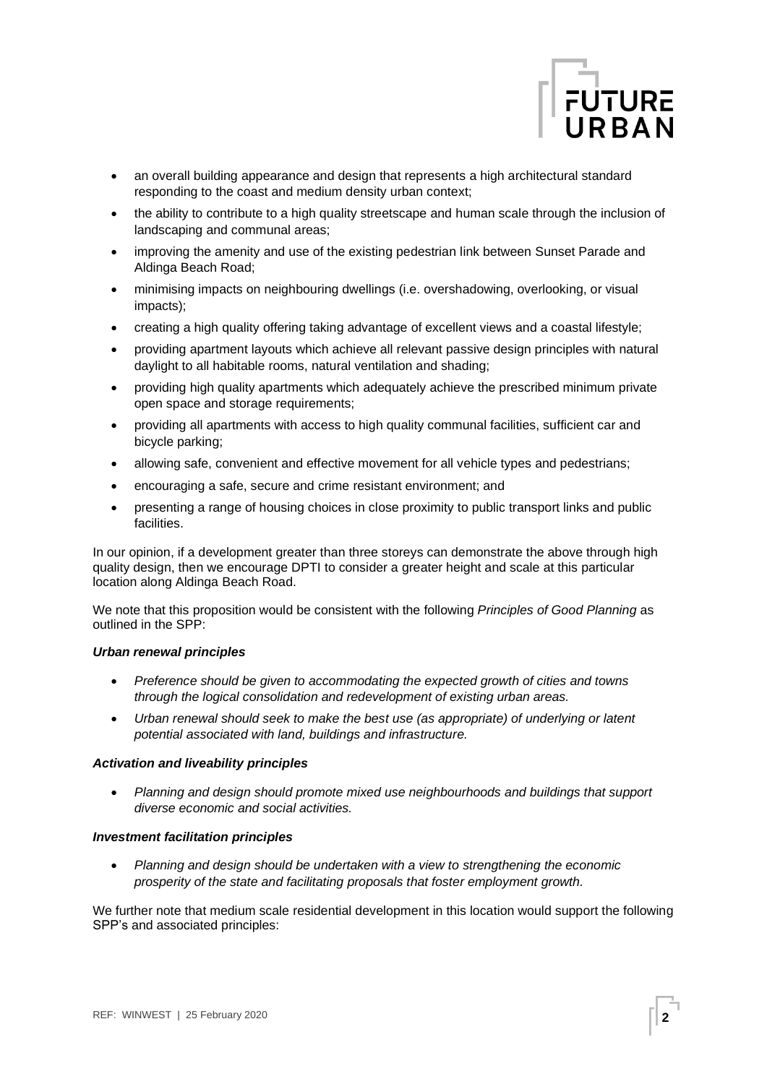

- an overall building appearance and design that represents a high architectural standard responding to the coast and medium density urban context;
- the ability to contribute to a high quality streetscape and human scale through the inclusion of landscaping and communal areas;
- improving the amenity and use of the existing pedestrian link between Sunset Parade and Aldinga Beach Road;
- minimising impacts on neighbouring dwellings (i.e. overshadowing, overlooking, or visual impacts);
- creating a high quality offering taking advantage of excellent views and a coastal lifestyle;
- providing apartment layouts which achieve all relevant passive design principles with natural daylight to all habitable rooms, natural ventilation and shading;
- providing high quality apartments which adequately achieve the prescribed minimum private open space and storage requirements;
- providing all apartments with access to high quality communal facilities, sufficient car and bicycle parking;
- allowing safe, convenient and effective movement for all vehicle types and pedestrians;
- encouraging a safe, secure and crime resistant environment; and
- presenting a range of housing choices in close proximity to public transport links and public facilities.

In our opinion, if a development greater than three storeys can demonstrate the above through high quality design, then we encourage DPTI to consider a greater height and scale at this particular location along Aldinga Beach Road.

We note that this proposition would be consistent with the following *Principles of Good Planning* as outlined in the SPP:

## *Urban renewal principles*

- *Preference should be given to accommodating the expected growth of cities and towns through the logical consolidation and redevelopment of existing urban areas.*
- *Urban renewal should seek to make the best use (as appropriate) of underlying or latent potential associated with land, buildings and infrastructure.*

## *Activation and liveability principles*

• *Planning and design should promote mixed use neighbourhoods and buildings that support diverse economic and social activities.*

## *Investment facilitation principles*

• *Planning and design should be undertaken with a view to strengthening the economic prosperity of the state and facilitating proposals that foster employment growth.*

We further note that medium scale residential development in this location would support the following SPP's and associated principles: